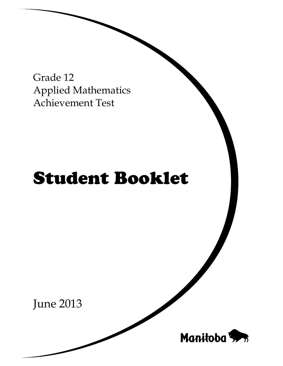Grade 12 Applied Mathematics Achievement Test

# Student Booklet

June 2013

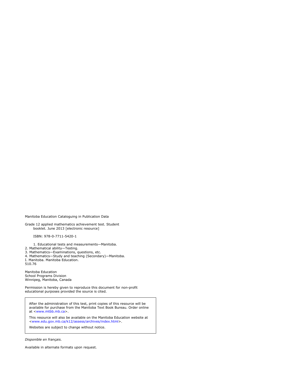Manitoba Education Cataloguing in Publication Data

Grade 12 applied mathematics achievement test. Student booklet. June 2013 [electronic resource]

ISBN: 978-0-7711-5420-1

1. Educational tests and measurements—Manitoba.

2. Mathematical ability—Testing.

3. Mathematics—Examinations, questions, etc.

4. Mathematics—Study and teaching (Secondary)—Manitoba.

I. Manitoba. Manitoba Education.

510.76

Manitoba Education School Programs Division Winnipeg, Manitoba, Canada

Permission is hereby given to reproduce this document for non-profit educational purposes provided the source is cited.

After the administration of this test, print copies of this resource will be available for purchase from the Manitoba Text Book Bureau. Order online at <www.mtbb.mb.ca>.

This resource will also be available on the Manitoba Education website at <www.edu.gov.mb.ca/k12/assess/archives/index.html>.

Websites are subject to change without notice.

*Disponible en français.* 

Available in alternate formats upon request.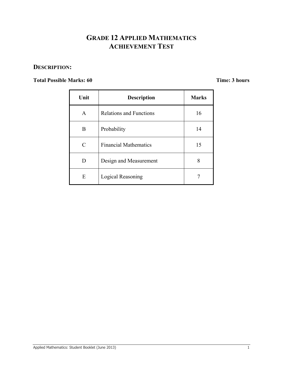# **GRADE 12 APPLIED MATHEMATICS ACHIEVEMENT TEST**

#### **DESCRIPTION:**

#### **Total Possible Marks: 60 Time: 3 hours**

| Unit         | <b>Description</b>             | <b>Marks</b> |
|--------------|--------------------------------|--------------|
| $\mathsf{A}$ | <b>Relations and Functions</b> | 16           |
| B            | Probability                    | 14           |
| C            | <b>Financial Mathematics</b>   | 15           |
| D            | Design and Measurement         | 8            |
| E            | <b>Logical Reasoning</b>       |              |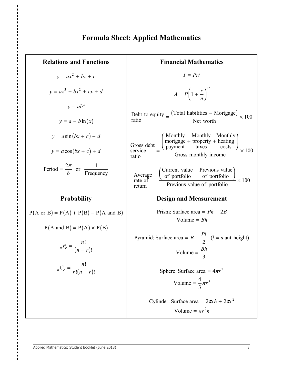# **Formula Sheet: Applied Mathematics**

| <b>Relations and Functions</b>                            | <b>Financial Mathematics</b>                                                                                                                                                                                                                     |
|-----------------------------------------------------------|--------------------------------------------------------------------------------------------------------------------------------------------------------------------------------------------------------------------------------------------------|
| $v = ax^2 + bx + c$                                       | $I = Prt$                                                                                                                                                                                                                                        |
| $v = ax^3 + bx^2 + cx + d$                                | $A = P\left(1 + \frac{r}{n}\right)^m$                                                                                                                                                                                                            |
| $y = ab^x$                                                |                                                                                                                                                                                                                                                  |
| $y = a + b \ln(x)$                                        | Debt to equity $=$ $\frac{(Total liabilities - Mortgage)}{Net worth} \times 100$                                                                                                                                                                 |
| $y = a \sin(bx + c) + d$                                  | Gross debt $\frac{\left(\begin{array}{cc}\text{Monthly} & \text{Monthly} & \text{Monthly} \\ \text{mortgage} + \text{property} + \text{heating} \\ \text{service} & \text{Gross monthly income}\end{array}\right)}{\text{Gross monthly income}}$ |
| $y = a\cos(bx + c) + d$                                   | $\times$ 100<br>ratio                                                                                                                                                                                                                            |
| Period = $\frac{2\pi}{b}$ or $\frac{1}{\text{Frequency}}$ | Average $\frac{\text{Current value}}{\text{of portfolio}} = \frac{\text{Previous value}}{\text{Previous value of portfolio}}$<br>$\frac{7}{2} \times 100$                                                                                        |
|                                                           | return                                                                                                                                                                                                                                           |
| <b>Probability</b>                                        | <b>Design and Measurement</b>                                                                                                                                                                                                                    |
| $P(A \text{ or } B) = P(A) + P(B) - P(A \text{ and } B)$  | Prism: Surface area = $Ph + 2B$                                                                                                                                                                                                                  |
| $P(A \text{ and } B) = P(A) \times P(B)$                  | Volume = $Bh$                                                                                                                                                                                                                                    |
|                                                           | Pyramid: Surface area = $B + \frac{Pl}{2}$ ( <i>l</i> = slant height)                                                                                                                                                                            |
| $_{n}P_{r} = \frac{n!}{(n-r)!}$                           | Volume = $\frac{Bh}{2}$                                                                                                                                                                                                                          |
| $_{n}C_{r} = \frac{n!}{r!(n-r)!}$                         | Sphere: Surface area = $4\pi r^2$                                                                                                                                                                                                                |
|                                                           | Volume = $\frac{4}{3}\pi r^3$                                                                                                                                                                                                                    |
|                                                           | Cylinder: Surface area = $2\pi rh + 2\pi r^2$                                                                                                                                                                                                    |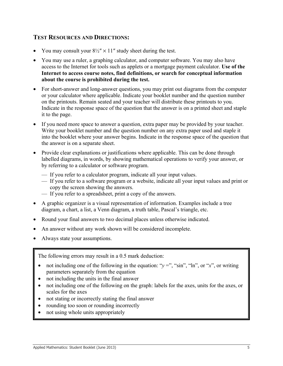#### **TEST RESOURCES AND DIRECTIONS:**

- You may consult your  $8\frac{1}{2}$ " × 11" study sheet during the test.
- You may use a ruler, a graphing calculator, and computer software. You may also have access to the Internet for tools such as applets or a mortgage payment calculator. **Use of the Internet to access course notes, find definitions, or search for conceptual information about the course is prohibited during the test.**
- For short-answer and long-answer questions, you may print out diagrams from the computer or your calculator where applicable. Indicate your booklet number and the question number on the printouts. Remain seated and your teacher will distribute these printouts to you. Indicate in the response space of the question that the answer is on a printed sheet and staple it to the page.
- If you need more space to answer a question, extra paper may be provided by your teacher. Write your booklet number and the question number on any extra paper used and staple it into the booklet where your answer begins. Indicate in the response space of the question that the answer is on a separate sheet.
- Provide clear explanations or justifications where applicable. This can be done through labelled diagrams, in words, by showing mathematical operations to verify your answer, or by referring to a calculator or software program.
	- If you refer to a calculator program, indicate all your input values.
	- If you refer to a software program or a website, indicate all your input values and print or copy the screen showing the answers.
	- If you refer to a spreadsheet, print a copy of the answers.
- A graphic organizer is a visual representation of information. Examples include a tree diagram, a chart, a list, a Venn diagram, a truth table, Pascal's triangle, etc.
- Round your final answers to two decimal places unless otherwise indicated.
- An answer without any work shown will be considered incomplete.
- Always state your assumptions.

The following errors may result in a 0.5 mark deduction:

- not including one of the following in the equation: " $y =$ ", "sin", "ln", or "*x*", or writing parameters separately from the equation
- not including the units in the final answer
- not including one of the following on the graph: labels for the axes, units for the axes, or scales for the axes
- not stating or incorrectly stating the final answer
- rounding too soon or rounding incorrectly
- not using whole units appropriately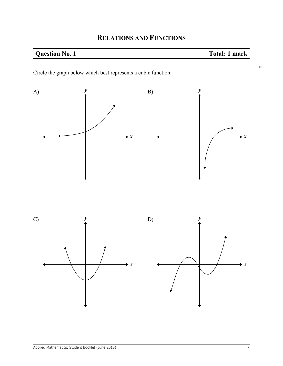# **Question No. 1** Total: 1 mark



Circle the graph below which best represents a cubic function.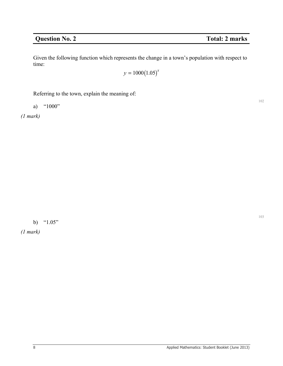Given the following function which represents the change in a town's population with respect to time:

 $y = 1000 (1.05)^x$ 

Referring to the town, explain the meaning of:

a) "1000"

*(1 mark)* 

b) "1.05"

*(1 mark)*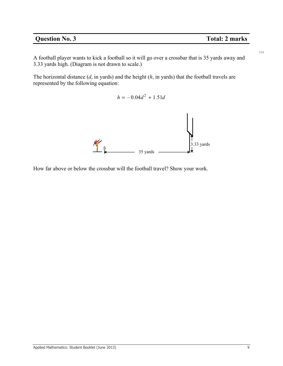#### **Question No. 3** Total: 2 marks

A football player wants to kick a football so it will go over a crossbar that is 35 yards away and 3.33 yards high. (Diagram is not drawn to scale.)

The horizontal distance (*d*, in yards) and the height (*h*, in yards) that the football travels are represented by the following equation:



How far above or below the crossbar will the football travel? Show your work.

 $h = -0.04d^2 + 1.51d$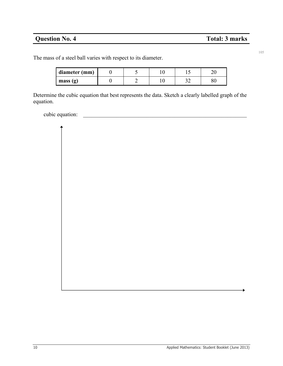### **Question No. 4** Total: 3 marks

The mass of a steel ball varies with respect to its diameter.

| diameter (mm) |  |     |   | ^ '<br>້ |
|---------------|--|-----|---|----------|
| mass(g)       |  | ⊥ ∪ | - | υv       |

Determine the cubic equation that best represents the data. Sketch a clearly labelled graph of the equation.

cubic equation:



 $\ddot{\phantom{1}}$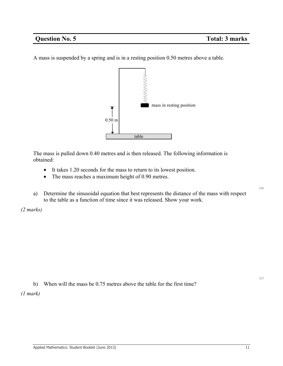# **Question No. 5** Total: 3 marks

A mass is suspended by a spring and is in a resting position 0.50 metres above a table.



The mass is pulled down 0.40 metres and is then released. The following information is obtained:

- It takes 1.20 seconds for the mass to return to its lowest position.
- The mass reaches a maximum height of 0.90 metres.
- a) Determine the sinusoidal equation that best represents the distance of the mass with respect to the table as a function of time since it was released. Show your work.

#### *(2 marks)*

b) When will the mass be 0.75 metres above the table for the first time?

*(1 mark)* 

106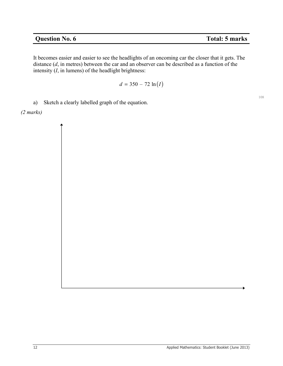It becomes easier and easier to see the headlights of an oncoming car the closer that it gets. The distance (*d*, in metres) between the car and an observer can be described as a function of the intensity (*I*, in lumens) of the headlight brightness:

$$
d = 350 - 72 \ln(I)
$$

a) Sketch a clearly labelled graph of the equation.

*(2 marks)*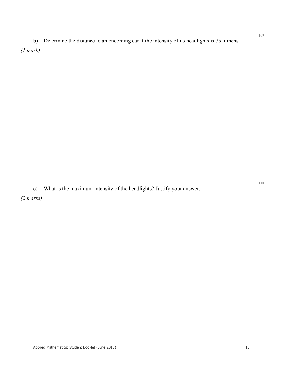b) Determine the distance to an oncoming car if the intensity of its headlights is 75 lumens.

*(1 mark)* 

c) What is the maximum intensity of the headlights? Justify your answer.

*(2 marks)*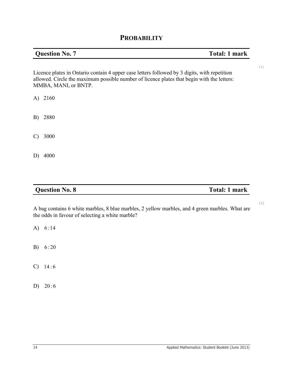### **PROBABILITY**

### **Question No. 7** Total: 1 mark

Licence plates in Ontario contain 4 upper case letters followed by 3 digits, with repetition allowed. Circle the maximum possible number of licence plates that begin with the letters: MMBA, MANI, or BNTP.

- A) 2160
- B) 2880
- C) 3000
- D) 4000

# **Question No. 8** Total: 1 mark

A bag contains 6 white marbles, 8 blue marbles, 2 yellow marbles, and 4 green marbles. What are the odds in favour of selecting a white marble?

- A) 6 :14
- B)  $6:20$
- $C) 14:6$
- D)  $20:6$

112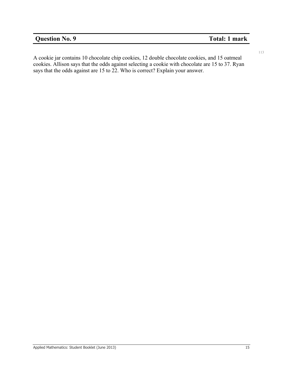| <b>Question No. 9</b> |  |  |  |  |
|-----------------------|--|--|--|--|
|-----------------------|--|--|--|--|

113

A cookie jar contains 10 chocolate chip cookies, 12 double chocolate cookies, and 15 oatmeal cookies. Allison says that the odds against selecting a cookie with chocolate are 15 to 37. Ryan says that the odds against are 15 to 22. Who is correct? Explain your answer.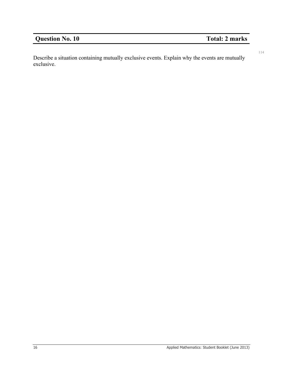# **Question No. 10** Total: 2 marks

114

Describe a situation containing mutually exclusive events. Explain why the events are mutually exclusive.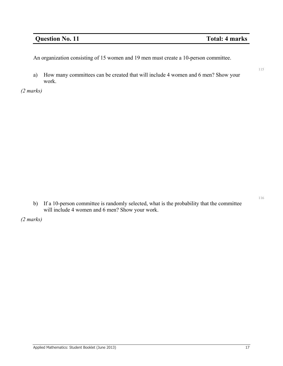#### **Question No. 11** Total: 4 marks

An organization consisting of 15 women and 19 men must create a 10-person committee.

a) How many committees can be created that will include 4 women and 6 men? Show your work.

*(2 marks)* 

b) If a 10-person committee is randomly selected, what is the probability that the committee will include 4 women and 6 men? Show your work.

*(2 marks)*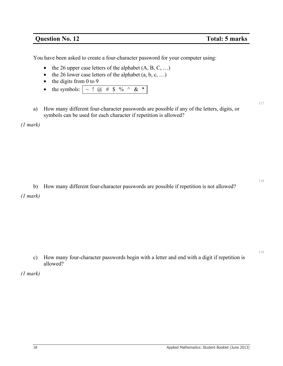### **Question No. 12** Total: 5 marks

You have been asked to create a four-character password for your computer using:

- the 26 upper case letters of the alphabet  $(A, B, C, ...)$
- the 26 lower case letters of the alphabet  $(a, b, c, ...)$
- $\bullet$  the digits from 0 to 9
- the symbols:  $\boxed{\sim}$  !  $\boxed{a}$  # \$ % ^ & \*
- a) How many different four-character passwords are possible if any of the letters, digits, or symbols can be used for each character if repetition is allowed?

*(1 mark)* 

b) How many different four-character passwords are possible if repetition is not allowed? *(1 mark)* 

c) How many four-character passwords begin with a letter and end with a digit if repetition is allowed?

*(1 mark)* 

118

119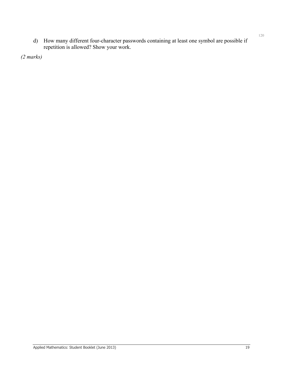d) How many different four-character passwords containing at least one symbol are possible if repetition is allowed? Show your work.

*(2 marks)*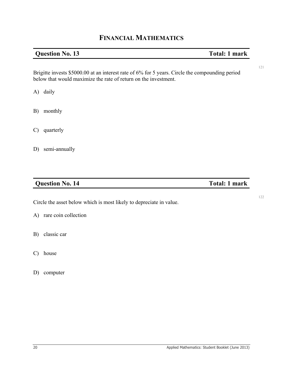### **Question No. 13** Total: 1 mark

Brigitte invests \$5000.00 at an interest rate of 6% for 5 years. Circle the compounding period below that would maximize the rate of return on the investment.

A) daily

- B) monthly
- C) quarterly
- D) semi-annually

### **Question No. 14** Total: 1 mark

Circle the asset below which is most likely to depreciate in value.

- A) rare coin collection
- B) classic car
- C) house
- D) computer

122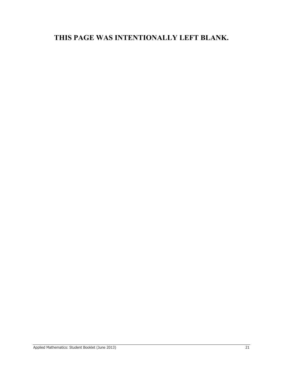# **THIS PAGE WAS INTENTIONALLY LEFT BLANK.**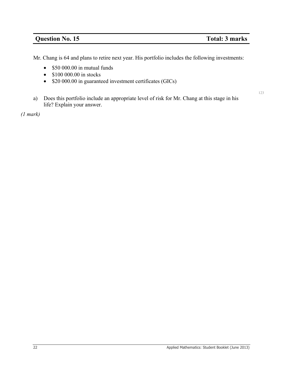### **Question No. 15** Total: 3 marks

123

Mr. Chang is 64 and plans to retire next year. His portfolio includes the following investments:

- \$50 000.00 in mutual funds
- \$100 000.00 in stocks
- \$20 000.00 in guaranteed investment certificates (GICs)
- a) Does this portfolio include an appropriate level of risk for Mr. Chang at this stage in his life? Explain your answer.

*(1 mark)*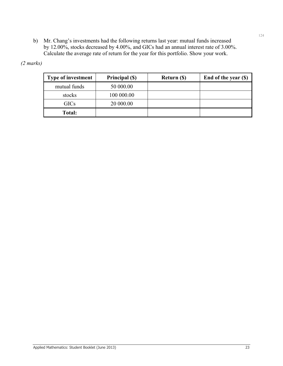b) Mr. Chang's investments had the following returns last year: mutual funds increased by 12.00%, stocks decreased by 4.00%, and GICs had an annual interest rate of 3.00%. Calculate the average rate of return for the year for this portfolio. Show your work.

#### *(2 marks)*

| <b>Type of investment</b> | Principal (\$) | Return (\$) | End of the year (\$) |
|---------------------------|----------------|-------------|----------------------|
| mutual funds              | 50 000.00      |             |                      |
| stocks                    | 100 000.00     |             |                      |
| GICs                      | 20 000.00      |             |                      |
| <b>Total:</b>             |                |             |                      |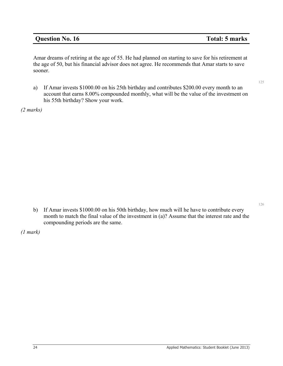#### **Question No. 16** Total: 5 marks

Amar dreams of retiring at the age of 55. He had planned on starting to save for his retirement at the age of 50, but his financial advisor does not agree. He recommends that Amar starts to save sooner.

a) If Amar invests \$1000.00 on his 25th birthday and contributes \$200.00 every month to an account that earns 8.00% compounded monthly, what will be the value of the investment on his 55th birthday? Show your work.

*(2 marks)* 

b) If Amar invests \$1000.00 on his 50th birthday, how much will he have to contribute every month to match the final value of the investment in (a)? Assume that the interest rate and the compounding periods are the same.

*(1 mark)*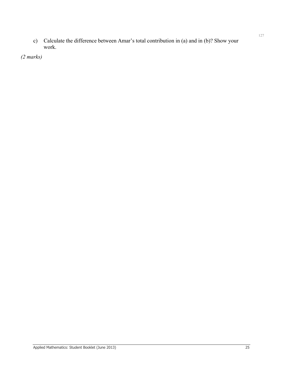c) Calculate the difference between Amar's total contribution in (a) and in (b)? Show your work.

*(2 marks)*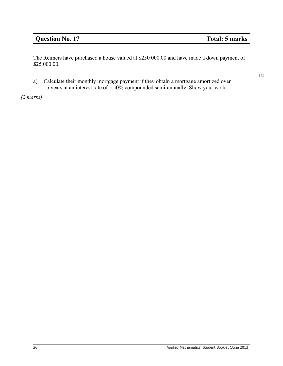#### **Question No. 17** Total: 5 marks

128

The Reimers have purchased a house valued at \$250 000.00 and have made a down payment of \$25 000.00.

a) Calculate their monthly mortgage payment if they obtain a mortgage amortized over 15 years at an interest rate of 5.50% compounded semi-annually. Show your work.

*(2 marks)*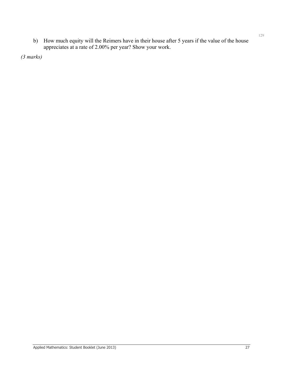b) How much equity will the Reimers have in their house after 5 years if the value of the house appreciates at a rate of 2.00% per year? Show your work.

*(3 marks)*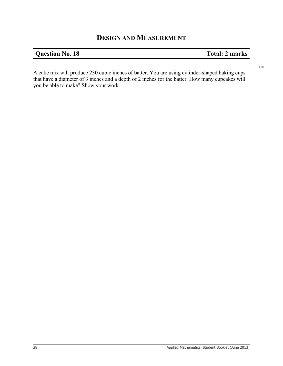## **DESIGN AND MEASUREMENT**

### **Question No. 18** Total: 2 marks

130

A cake mix will produce 230 cubic inches of batter. You are using cylinder-shaped baking cups that have a diameter of 3 inches and a depth of 2 inches for the batter. How many cupcakes will you be able to make? Show your work.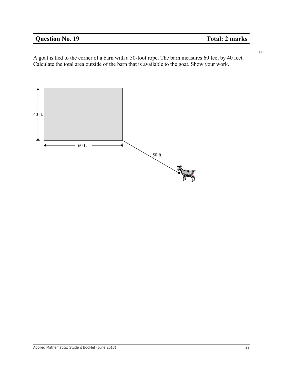# **Question No. 19** Total: 2 marks

A goat is tied to the corner of a barn with a 50-foot rope. The barn measures 60 feet by 40 feet. Calculate the total area outside of the barn that is available to the goat. Show your work.

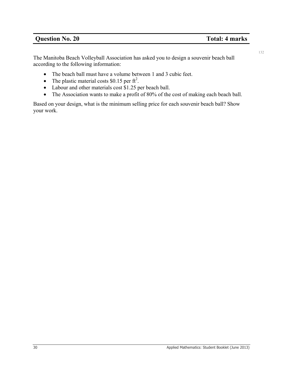# **Question No. 20** Total: 4 marks

The Manitoba Beach Volleyball Association has asked you to design a souvenir beach ball according to the following information:

- The beach ball must have a volume between 1 and 3 cubic feet.
- The plastic material costs \$0.15 per  $\text{ft}^2$ .
- Labour and other materials cost \$1.25 per beach ball.
- The Association wants to make a profit of 80% of the cost of making each beach ball.

Based on your design, what is the minimum selling price for each souvenir beach ball? Show your work.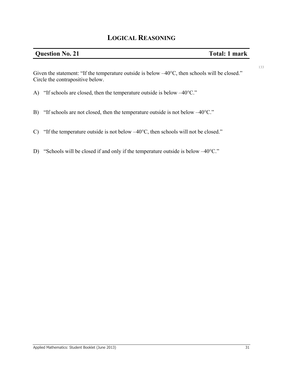### **LOGICAL REASONING**

#### **Question No. 21** Total: 1 mark

133

Given the statement: "If the temperature outside is below  $-40^{\circ}$ C, then schools will be closed." Circle the contrapositive below.

- A) "If schools are closed, then the temperature outside is below –40°C."
- B) "If schools are not closed, then the temperature outside is not below –40°C."
- C) "If the temperature outside is not below –40°C, then schools will not be closed."
- D) "Schools will be closed if and only if the temperature outside is below –40°C."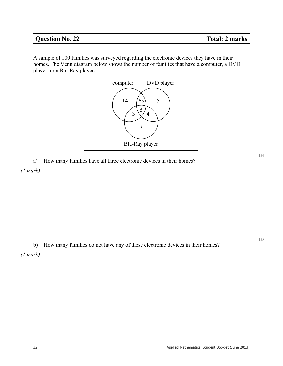#### **Question No. 22** Total: 2 marks

134

135

A sample of 100 families was surveyed regarding the electronic devices they have in their homes. The Venn diagram below shows the number of families that have a computer, a DVD player, or a Blu-Ray player.



a) How many families have all three electronic devices in their homes?

*(1 mark)* 

b) How many families do not have any of these electronic devices in their homes?

#### *(1 mark)*

32 Applied Mathematics: Student Booklet (June 2013)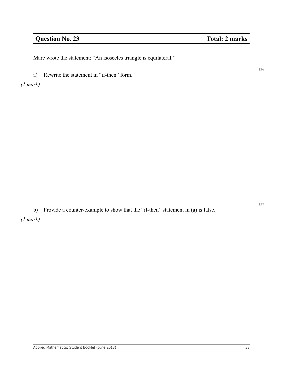# **Question No. 23** Total: 2 marks

Marc wrote the statement: "An isosceles triangle is equilateral."

a) Rewrite the statement in "if-then" form.

*(1 mark)* 

b) Provide a counter-example to show that the "if-then" statement in (a) is false.

*(1 mark)* 

137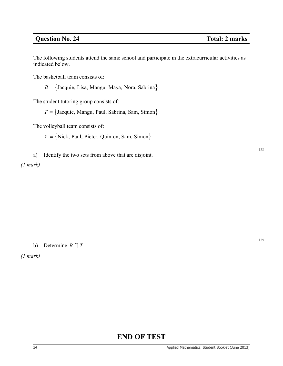#### **Question No. 24** Total: 2 marks

The following students attend the same school and participate in the extracurricular activities as indicated below.

The basketball team consists of:

 $B = \{$  Jacquie, Lisa, Mangu, Maya, Nora, Sabrina $\}$ 

The student tutoring group consists of:

*T* = {Jacquie, Mangu, Paul, Sabrina, Sam, Simon}

The volleyball team consists of:

 $V = \{Nick, Paul, Pieter, Quinton, Sam, Simon\}$ 

a) Identify the two sets from above that are disjoint.

*(1 mark)* 

b) Determine  $B \bigcap T$ .

*(1 mark)* 

# **END OF TEST**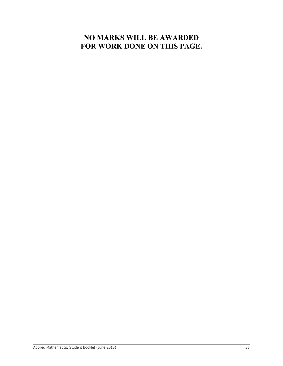# **NO MARKS WILL BE AWARDED FOR WORK DONE ON THIS PAGE.**